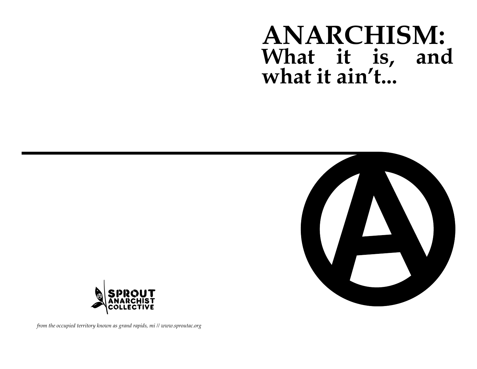# **ANARCHISM: What it is, and what it ain't...**





*from the occupied territory known as grand rapids, mi // www.sproutac.org*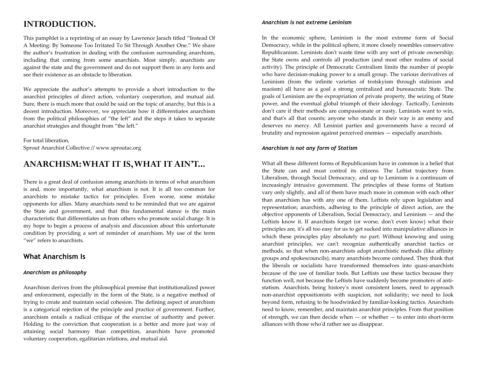# **INTRODUCTION.**

This pamphlet is a reprinting of an essay by Lawrence Jarach titled "Instead Of A Meeting: By Someone Too Irritated To Sit Through Another One." We share the author's frustration in dealing with the confusion surrounding anarchism, including that coming from some anarchists. Most simply, anarchists are against the state and the government and do not support them in any form and see their existence as an obstacle to liberation.

We appreciate the author's attempts to provide a short introduction to the anarchist principles of direct action, voluntary cooperation, and mutual aid. Sure, there is much more that could be said on the topic of anarchy, but this is a decent introduction. Moreover, we appreciate how it differentiates anarchism from the political philosophies of "the left" and the steps it takes to separate anarchist strategies and thought from "the left."

For total liberation, Sprout Anarchist Collective // www.sproutac.org

# **ANARCHISM: WHAT IT IS, WHAT IT AIN'T...**

There is a great deal of confusion among anarchists in terms of what anarchism is and, more importantly, what anarchism is not. It is all too common for anarchists to mistake tactics for principles. Even worse, some mistake opponents for allies. Many anarchists need to be reminded that we are against the State and government, and that this fundamental stance is the main characteristic that differentiates us from others who promote social change. It is my hope to begin a process of analysis and discussion about this unfortunate condition by providing a sort of reminder of anarchism. My use of the term "we" refers to anarchists.

## **What Anarchism Is**

#### *Anarchism as philosophy*

Anarchism derives from the philosophical premise that institutionalized power and enforcement, especially in the form of the State, is a negative method of trying to create and maintain social cohesion. The defining aspect of anarchism is a categorical rejection of the principle and practice of government. Further, anarchism entails a radical critique of the exercise of authority and power. Holding to the conviction that cooperation is a better and more just way of attaining social harmony than competition, anarchists have promoted voluntary cooperation, egalitarian relations, and mutual aid.

#### *Anarchism is not extreme Leninism*

In the economic sphere, Leninism is the most extreme form of Social Democracy, while in the political sphere, it more closely resembles conservative Republicanism. Leninists don't waste time with any sort of private ownership; the State owns and controls all production (and most other realms of social activity). The principle of Democratic Centralism limits the number of people who have decision-making power to a small group. The various derivatives of Leninism (from the infinite varieties of trotskyism through stalinism and maoism) all have as a goal a strong centralized and bureaucratic State. The goals of Leninism are the expropriation of private property, the seizing of State power, and the eventual global triumph of their ideology. Tactically, Leninists don't care if their methods are compassionate or nasty. Leninists want to win, and that's all that counts; anyone who stands in their way is an enemy and deserves no mercy. All Leninist parties and governments have a record of brutality and repression against perceived enemies — especially anarchists.

#### *Anarchism is not any form of Statism*

What all these different forms of Republicanism have in common is a belief that the State can and must control its citizens. The Leftist trajectory from Liberalism, through Social Democracy, and up to Leninism is a continuum of increasingly intrusive government. The principles of these forms of Statism vary only slightly, and all of them have much more in common with each other than anarchism has with any one of them. Leftists rely upon legislation and representation; anarchists, adhering to the principle of direct action, are the objective opponents of Liberalism, Social Democracy, and Leninism — and the Leftists know it. If anarchists forget (or worse, don't even know) what their principles are, it's all too easy for us to get sucked into manipulative alliances in which these principles play absolutely no part. Without knowing and using anarchist principles, we can't recognize authentically anarchist tactics or methods, so that when non-anarchists adopt anarchistic methods (like affinity groups and spokescouncils), many anarchists become confused. They think that the liberals or socialists have transformed themselves into quasi-anarchists because of the use of familiar tools. But Leftists use these tactics because they function well, not because the Leftists have suddenly become promoters of antistatism. Anarchists, being history's most consistent losers, need to approach non-anarchist oppositionists with suspicion, not solidarity; we need to look beyond form, refusing to be hoodwinked by familiar-looking tactics. Anarchists need to know, remember, and maintain anarchist principles. From that position of strength, we can then decide when  $-$  or whether  $-$  to enter into short-term alliances with those who'd rather see us disappear.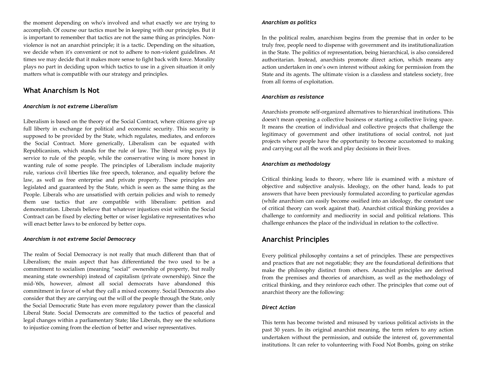the moment depending on who's involved and what exactly we are trying to accomplish. Of course our tactics must be in keeping with our principles. But it is important to remember that tactics are not the same thing as principles. Nonviolence is not an anarchist principle; it is a tactic. Depending on the situation, we decide when it's convenient or not to adhere to non-violent guidelines. At times we may decide that it makes more sense to fight back with force. Morality plays no part in deciding upon which tactics to use in a given situation it only matters what is compatible with our strategy and principles.

## **What Anarchism Is Not**

#### *Anarchism is not extreme Liberalism*

Liberalism is based on the theory of the Social Contract, where citizens give up full liberty in exchange for political and economic security. This security is supposed to be provided by the State, which regulates, mediates, and enforces the Social Contract. More generically, Liberalism can be equated with Republicanism, which stands for the rule of law. The liberal wing pays lip service to rule of the people, while the conservative wing is more honest in wanting rule of some people. The principles of Liberalism include majority rule, various civil liberties like free speech, tolerance, and equality before the law, as well as free enterprise and private property. These principles are legislated and guaranteed by the State, which is seen as the same thing as the People. Liberals who are unsatisfied with certain policies and wish to remedy them use tactics that are compatible with liberalism: petition and demonstration. Liberals believe that whatever injustices exist within the Social Contract can be fixed by electing better or wiser legislative representatives who will enact better laws to be enforced by better cops.

#### *Anarchism is not extreme Social Democracy*

The realm of Social Democracy is not really that much different than that of Liberalism; the main aspect that has differentiated the two used to be a commitment to socialism (meaning "social" ownership of property, but really meaning state ownership) instead of capitalism (private ownership). Since the mid-'60s, however, almost all social democrats have abandoned this commitment in favor of what they call a mixed economy. Social Democrats also consider that they are carrying out the will of the people through the State, only the Social Democratic State has even more regulatory power than the classical Liberal State. Social Democrats are committed to the tactics of peaceful and legal changes within a parliamentary State; like Liberals, they see the solutions to injustice coming from the election of better and wiser representatives.

#### *Anarchism as politics*

In the political realm, anarchism begins from the premise that in order to be truly free, people need to dispense with government and its institutionalization in the State. The politics of representation, being hierarchical, is also considered authoritarian. Instead, anarchists promote direct action, which means any action undertaken in one's own interest without asking for permission from the State and its agents. The ultimate vision is a classless and stateless society, free from all forms of exploitation.

#### *Anarchism as resistance*

Anarchists promote self-organized alternatives to hierarchical institutions. This doesn't mean opening a collective business or starting a collective living space. It means the creation of individual and collective projects that challenge the legitimacy of government and other institutions of social control, not just projects where people have the opportunity to become accustomed to making and carrying out all the work and play decisions in their lives.

#### *Anarchism as methodology*

Critical thinking leads to theory, where life is examined with a mixture of objective and subjective analysis. Ideology, on the other hand, leads to pat answers that have been previously formulated according to particular agendas (while anarchism can easily become ossified into an ideology, the constant use of critical theory can work against that). Anarchist critical thinking provides a challenge to conformity and mediocrity in social and political relations. This challenge enhances the place of the individual in relation to the collective.

## **Anarchist Principles**

Every political philosophy contains a set of principles. These are perspectives and practices that are not negotiable; they are the foundational definitions that make the philosophy distinct from others. Anarchist principles are derived from the premises and theories of anarchism, as well as the methodology of critical thinking, and they reinforce each other. The principles that come out of anarchist theory are the following:

#### *Direct Action*

This term has become twisted and misused by various political activists in the past 30 years. In its original anarchist meaning, the term refers to any action undertaken without the permission, and outside the interest of, governmental institutions. It can refer to volunteering with Food Not Bombs, going on strike